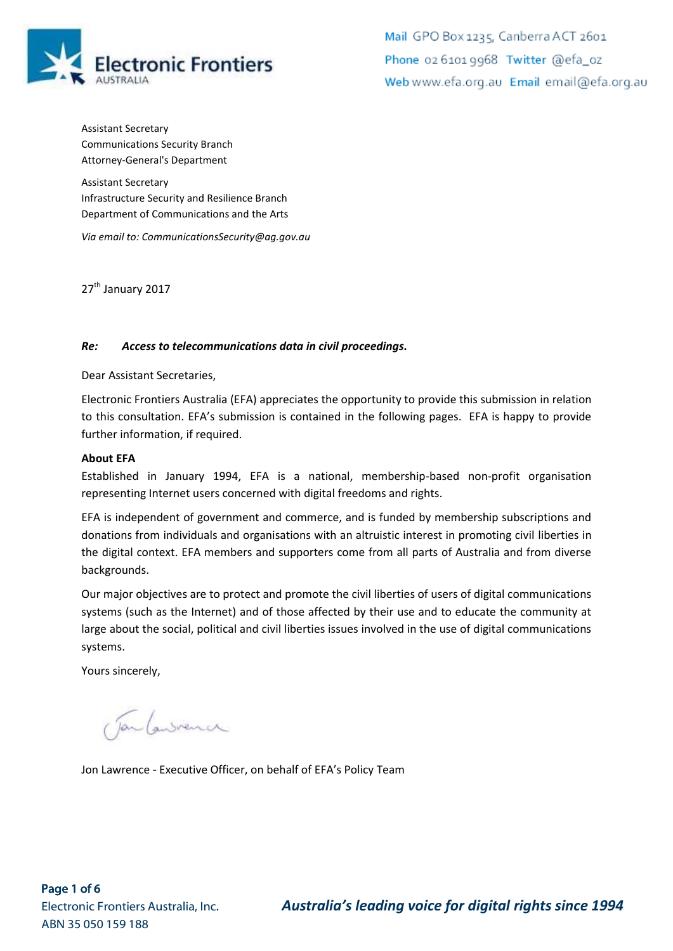

Mail GPO Box 1235, Canberra ACT 2601 Phone 02 6101 9968 Twitter @efa\_oz Web www.efa.org.au Email email@efa.org.au

Assistant Secretary Communications Security Branch Attorney-General's Department

Assistant Secretary Infrastructure Security and Resilience Branch Department of Communications and the Arts

*Via email to: CommunicationsSecurity@ag.gov.au*

27<sup>th</sup> January 2017

#### *Re: Access to telecommunications data in civil proceedings.*

Dear Assistant Secretaries,

Electronic Frontiers Australia (EFA) appreciates the opportunity to provide this submission in relation to this consultation. EFA's submission is contained in the following pages. EFA is happy to provide further information, if required.

#### **About EFA**

Established in January 1994, EFA is a national, membership-based non-profit organisation representing Internet users concerned with digital freedoms and rights.

EFA is independent of government and commerce, and is funded by membership subscriptions and donations from individuals and organisations with an altruistic interest in promoting civil liberties in the digital context. EFA members and supporters come from all parts of Australia and from diverse backgrounds.

Our major objectives are to protect and promote the civil liberties of users of digital communications systems (such as the Internet) and of those affected by their use and to educate the community at large about the social, political and civil liberties issues involved in the use of digital communications systems.

Yours sincerely,

Tan Convenu

Jon Lawrence - Executive Officer, on behalf of EFA's Policy Team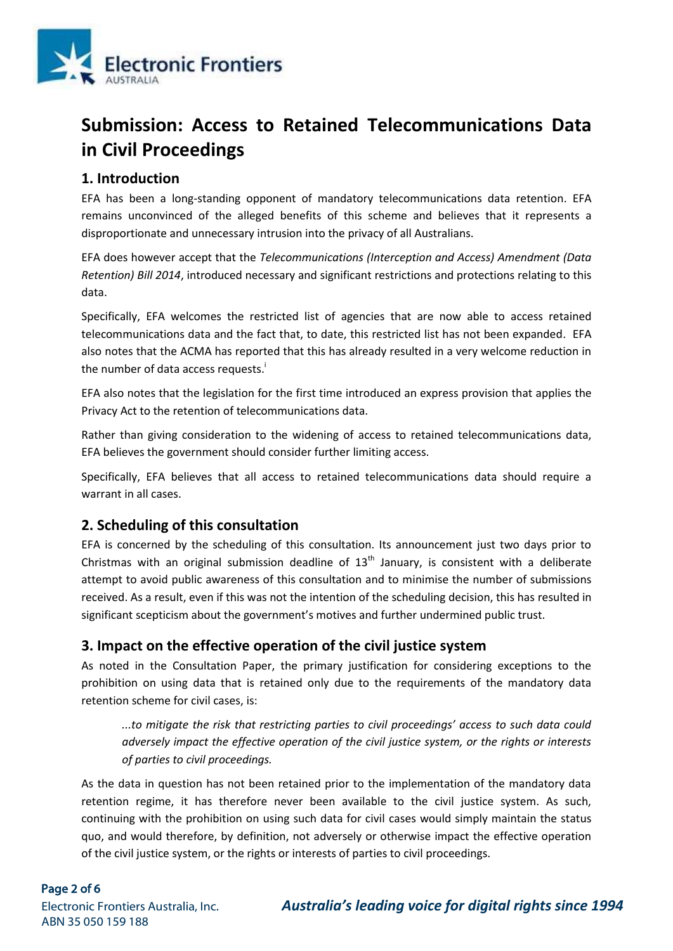

# **Submission: Access to Retained Telecommunications Data in Civil Proceedings**

## **1. Introduction**

EFA has been a long-standing opponent of mandatory telecommunications data retention. EFA remains unconvinced of the alleged benefits of this scheme and believes that it represents a disproportionate and unnecessary intrusion into the privacy of all Australians.

EFA does however accept that the *Telecommunications (Interception and Access) Amendment (Data Retention) Bill 2014*, introduced necessary and significant restrictions and protections relating to this data.

Specifically, EFA welcomes the restricted list of agencies that are now able to access retained telecommunications data and the fact that, to date, this restricted list has not been expanded. EFA also notes that the ACMA has reported that this has already resulted in a very welcome reduction in the number of data access requests. $\dot{I}$ 

EFA also notes that the legislation for the first time introduced an express provision that applies the Privacy Act to the retention of telecommunications data.

Rather than giving consideration to the widening of access to retained telecommunications data, EFA believes the government should consider further limiting access.

Specifically, EFA believes that all access to retained telecommunications data should require a warrant in all cases.

## **2. Scheduling of this consultation**

EFA is concerned by the scheduling of this consultation. Its announcement just two days prior to Christmas with an original submission deadline of  $13<sup>th</sup>$  January, is consistent with a deliberate attempt to avoid public awareness of this consultation and to minimise the number of submissions received. As a result, even if this was not the intention of the scheduling decision, this has resulted in significant scepticism about the government's motives and further undermined public trust.

#### **3. Impact on the effective operation of the civil justice system**

As noted in the Consultation Paper, the primary justification for considering exceptions to the prohibition on using data that is retained only due to the requirements of the mandatory data retention scheme for civil cases, is:

*...to mitigate the risk that restricting parties to civil proceedings' access to such data could adversely impact the effective operation of the civil justice system, or the rights or interests of parties to civil proceedings.*

As the data in question has not been retained prior to the implementation of the mandatory data retention regime, it has therefore never been available to the civil justice system. As such, continuing with the prohibition on using such data for civil cases would simply maintain the status quo, and would therefore, by definition, not adversely or otherwise impact the effective operation of the civil justice system, or the rights or interests of parties to civil proceedings.

#### Page 2 of 6

ABN 35 050 159 188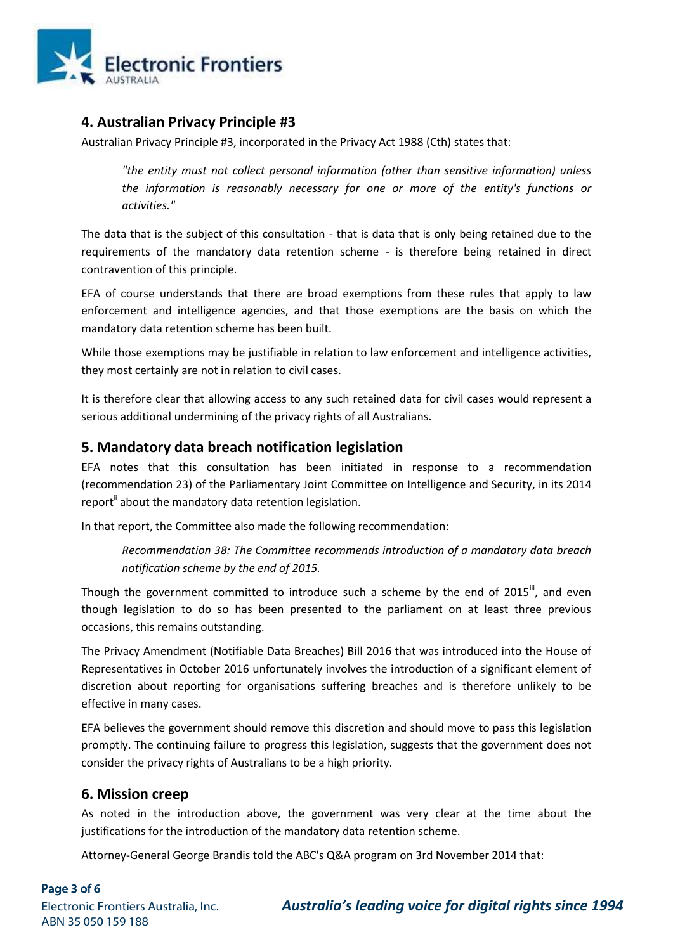

#### **4. Australian Privacy Principle #3**

Australian Privacy Principle #3, incorporated in the Privacy Act 1988 (Cth) states that:

*"the entity must not collect personal information (other than sensitive information) unless the information is reasonably necessary for one or more of the entity's functions or activities."*

The data that is the subject of this consultation - that is data that is only being retained due to the requirements of the mandatory data retention scheme - is therefore being retained in direct contravention of this principle.

EFA of course understands that there are broad exemptions from these rules that apply to law enforcement and intelligence agencies, and that those exemptions are the basis on which the mandatory data retention scheme has been built.

While those exemptions may be justifiable in relation to law enforcement and intelligence activities, they most certainly are not in relation to civil cases.

It is therefore clear that allowing access to any such retained data for civil cases would represent a serious additional undermining of the privacy rights of all Australians.

#### **5. Mandatory data breach notification legislation**

EFA notes that this consultation has been initiated in response to a recommendation (recommendation 23) of the Parliamentary Joint Committee on Intelligence and Security, in its 2014 report<sup>ii</sup> about the mandatory data retention legislation.

In that report, the Committee also made the following recommendation:

*Recommendation 38: The Committee recommends introduction of a mandatory data breach notification scheme by the end of 2015.*

Though the government committed to introduce such a scheme by the end of  $2015^{\text{iii}}$ , and even though legislation to do so has been presented to the parliament on at least three previous occasions, this remains outstanding.

The Privacy Amendment (Notifiable Data Breaches) Bill 2016 that was introduced into the House of Representatives in October 2016 unfortunately involves the introduction of a significant element of discretion about reporting for organisations suffering breaches and is therefore unlikely to be effective in many cases.

EFA believes the government should remove this discretion and should move to pass this legislation promptly. The continuing failure to progress this legislation, suggests that the government does not consider the privacy rights of Australians to be a high priority.

#### **6. Mission creep**

As noted in the introduction above, the government was very clear at the time about the justifications for the introduction of the mandatory data retention scheme.

Attorney-General George Brandis told the ABC's Q&A program on 3rd November 2014 that: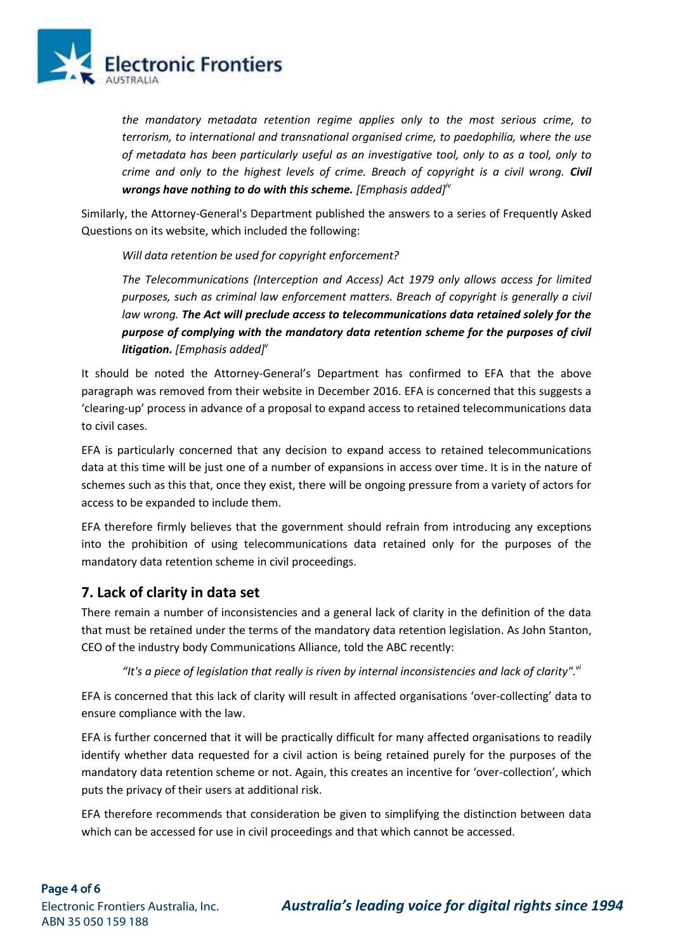

*the mandatory metadata retention regime applies only to the most serious crime, to terrorism, to international and transnational organised crime, to paedophilia, where the use of metadata has been particularly useful as an investigative tool, only to as a tool, only to crime and only to the highest levels of crime. Breach of copyright is a civil wrong. Civil wrongs have nothing to do with this scheme. [Emphasis added]iv*

Similarly, the Attorney-General's Department published the answers to a series of Frequently Asked Questions on its website, which included the following:

*Will data retention be used for copyright enforcement?*

*The Telecommunications (Interception and Access) Act 1979 only allows access for limited purposes, such as criminal law enforcement matters. Breach of copyright is generally a civil law wrong. The Act will preclude access to telecommunications data retained solely for the purpose of complying with the mandatory data retention scheme for the purposes of civil litigation. [Emphasis added]<sup>v</sup>*

It should be noted the Attorney-General's Department has confirmed to EFA that the above paragraph was removed from their website in December 2016. EFA is concerned that this suggests a 'clearing-up' process in advance of a proposal to expand access to retained telecommunications data to civil cases.

EFA is particularly concerned that any decision to expand access to retained telecommunications data at this time will be just one of a number of expansions in access over time. It is in the nature of schemes such as this that, once they exist, there will be ongoing pressure from a variety of actors for access to be expanded to include them.

EFA therefore firmly believes that the government should refrain from introducing any exceptions into the prohibition of using telecommunications data retained only for the purposes of the mandatory data retention scheme in civil proceedings.

## **7. Lack of clarity in data set**

There remain a number of inconsistencies and a general lack of clarity in the definition of the data that must be retained under the terms of the mandatory data retention legislation. As John Stanton, CEO of the industry body Communications Alliance, told the ABC recently:

*"It's a piece of legislation that really is riven by internal inconsistencies and lack of clarity".vi*

EFA is concerned that this lack of clarity will result in affected organisations 'over-collecting' data to ensure compliance with the law.

EFA is further concerned that it will be practically difficult for many affected organisations to readily identify whether data requested for a civil action is being retained purely for the purposes of the mandatory data retention scheme or not. Again, this creates an incentive for 'over-collection', which puts the privacy of their users at additional risk.

EFA therefore recommends that consideration be given to simplifying the distinction between data which can be accessed for use in civil proceedings and that which cannot be accessed.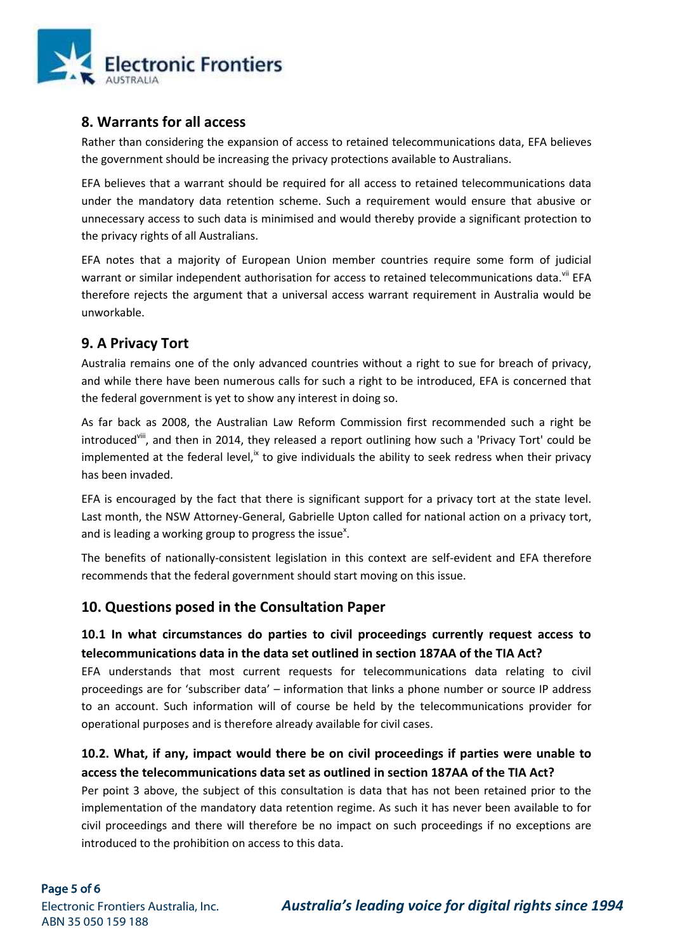

#### **8. Warrants for all access**

Rather than considering the expansion of access to retained telecommunications data, EFA believes the government should be increasing the privacy protections available to Australians.

EFA believes that a warrant should be required for all access to retained telecommunications data under the mandatory data retention scheme. Such a requirement would ensure that abusive or unnecessary access to such data is minimised and would thereby provide a significant protection to the privacy rights of all Australians.

EFA notes that a majority of European Union member countries require some form of judicial warrant or similar independent authorisation for access to retained telecommunications data.<sup>vii</sup> EFA therefore rejects the argument that a universal access warrant requirement in Australia would be unworkable.

# **9. A Privacy Tort**

Australia remains one of the only advanced countries without a right to sue for breach of privacy, and while there have been numerous calls for such a right to be introduced, EFA is concerned that the federal government is yet to show any interest in doing so.

As far back as 2008, the Australian Law Reform Commission first recommended such a right be introduced<sup>viii</sup>, and then in 2014, they released a report outlining how such a 'Privacy Tort' could be implemented at the federal level, $\frac{1}{x}$  to give individuals the ability to seek redress when their privacy has been invaded.

EFA is encouraged by the fact that there is significant support for a privacy tort at the state level. Last month, the NSW Attorney-General, Gabrielle Upton called for national action on a privacy tort, and is leading a working group to progress the issue<sup>x</sup>.

The benefits of nationally-consistent legislation in this context are self-evident and EFA therefore recommends that the federal government should start moving on this issue.

## **10. Questions posed in the Consultation Paper**

## **10.1 In what circumstances do parties to civil proceedings currently request access to telecommunications data in the data set outlined in section 187AA of the TIA Act?**

EFA understands that most current requests for telecommunications data relating to civil proceedings are for 'subscriber data' – information that links a phone number or source IP address to an account. Such information will of course be held by the telecommunications provider for operational purposes and is therefore already available for civil cases.

## **10.2. What, if any, impact would there be on civil proceedings if parties were unable to access the telecommunications data set as outlined in section 187AA of the TIA Act?**

Per point 3 above, the subject of this consultation is data that has not been retained prior to the implementation of the mandatory data retention regime. As such it has never been available to for civil proceedings and there will therefore be no impact on such proceedings if no exceptions are introduced to the prohibition on access to this data.